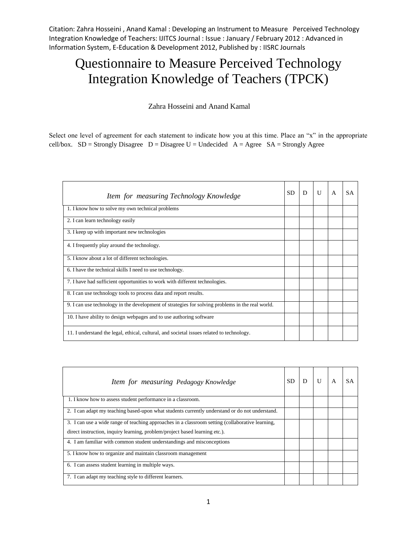Citation: Zahra Hosseini , Anand Kamal : Developing an Instrument to Measure Perceived Technology Integration Knowledge of Teachers: IJITCS Journal : Issue : January / February 2012 : Advanced in Information System, E-Education & Development 2012, Published by : IISRC Journals

## Questionnaire to Measure Perceived Technology Integration Knowledge of Teachers (TPCK)

Zahra Hosseini and Anand Kamal

Select one level of agreement for each statement to indicate how you at this time. Place an "x" in the appropriate cell/box.  $SD =$  Strongly Disagree  $D =$  Disagree  $U =$  Undecided  $A =$  Agree  $SA =$  Strongly Agree

| Item for measuring Technology Knowledge                                                          | SD. | D | U | A | <b>SA</b> |
|--------------------------------------------------------------------------------------------------|-----|---|---|---|-----------|
| 1. I know how to solve my own technical problems                                                 |     |   |   |   |           |
| 2. I can learn technology easily                                                                 |     |   |   |   |           |
| 3. I keep up with important new technologies                                                     |     |   |   |   |           |
| 4. I frequently play around the technology.                                                      |     |   |   |   |           |
| 5. I know about a lot of different technologies.                                                 |     |   |   |   |           |
| 6. I have the technical skills I need to use technology.                                         |     |   |   |   |           |
| 7. I have had sufficient opportunities to work with different technologies.                      |     |   |   |   |           |
| 8. I can use technology tools to process data and report results.                                |     |   |   |   |           |
| 9. I can use technology in the development of strategies for solving problems in the real world. |     |   |   |   |           |
| 10. I have ability to design webpages and to use authoring software                              |     |   |   |   |           |
| 11. I understand the legal, ethical, cultural, and societal issues related to technology.        |     |   |   |   |           |

| Item for measuring Pedagogy Knowledge                                                            | <b>SD</b> |  |  |
|--------------------------------------------------------------------------------------------------|-----------|--|--|
| 1. I know how to assess student performance in a classroom.                                      |           |  |  |
| 2. I can adapt my teaching based-upon what students currently understand or do not understand.   |           |  |  |
| 3. I can use a wide range of teaching approaches in a classroom setting (collaborative learning, |           |  |  |
| direct instruction, inquiry learning, problem/project based learning etc.).                      |           |  |  |
| 4. I am familiar with common student understandings and misconceptions                           |           |  |  |
| 5. I know how to organize and maintain classroom management                                      |           |  |  |
| 6. I can assess student learning in multiple ways.                                               |           |  |  |
| 7. I can adapt my teaching style to different learners.                                          |           |  |  |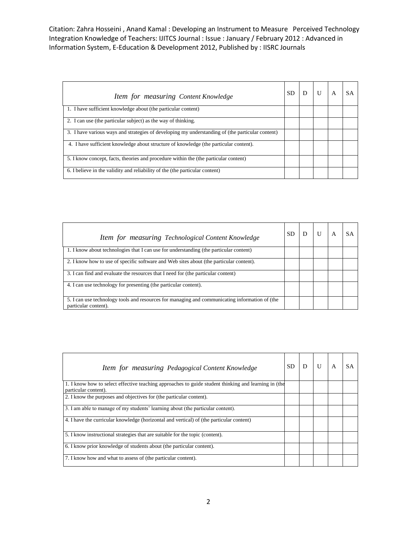Citation: Zahra Hosseini , Anand Kamal : Developing an Instrument to Measure Perceived Technology Integration Knowledge of Teachers: IJITCS Journal : Issue : January / February 2012 : Advanced in Information System, E-Education & Development 2012, Published by : IISRC Journals

| Item for measuring Content Knowledge                                                             | <b>SD</b> |  |  |
|--------------------------------------------------------------------------------------------------|-----------|--|--|
| 1. I have sufficient knowledge about (the particular content)                                    |           |  |  |
| 2. I can use (the particular subject) as the way of thinking.                                    |           |  |  |
| 3. I have various ways and strategies of developing my understanding of (the particular content) |           |  |  |
| 4. I have sufficient knowledge about structure of knowledge (the particular content).            |           |  |  |
| 5. I know concept, facts, theories and procedure within the (the particular content)             |           |  |  |
| 6. I believe in the validity and reliability of the (the particular content)                     |           |  |  |

| Item for measuring Technological Content Knowledge                                                                     | SD |  |  |
|------------------------------------------------------------------------------------------------------------------------|----|--|--|
| 1. I know about technologies that I can use for understanding (the particular content)                                 |    |  |  |
| 2. I know how to use of specific software and Web sites about (the particular content).                                |    |  |  |
| 3. I can find and evaluate the resources that I need for (the particular content)                                      |    |  |  |
| 4. I can use technology for presenting (the particular content).                                                       |    |  |  |
| 5. I can use technology tools and resources for managing and communicating information of (the<br>particular content). |    |  |  |

| Item for measuring Pedagogical Content Knowledge                                                                             | SD |  |  |
|------------------------------------------------------------------------------------------------------------------------------|----|--|--|
| 1. I know how to select effective teaching approaches to guide student thinking and learning in (the<br>particular content). |    |  |  |
| 2. I know the purposes and objectives for (the particular content).                                                          |    |  |  |
| 3. I am able to manage of my students' learning about (the particular content).                                              |    |  |  |
| 4. I have the curricular knowledge (horizontal and vertical) of (the particular content)                                     |    |  |  |
| 5. I know instructional strategies that are suitable for the topic (content).                                                |    |  |  |
| 6. I know prior knowledge of students about (the particular content).                                                        |    |  |  |
| 7. I know how and what to assess of (the particular content).                                                                |    |  |  |